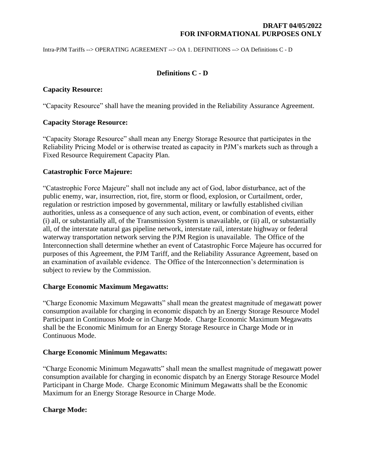Intra-PJM Tariffs --> OPERATING AGREEMENT --> OA 1. DEFINITIONS --> OA Definitions C - D

# **Definitions C - D**

### **Capacity Resource:**

"Capacity Resource" shall have the meaning provided in the Reliability Assurance Agreement.

#### **Capacity Storage Resource:**

"Capacity Storage Resource" shall mean any Energy Storage Resource that participates in the Reliability Pricing Model or is otherwise treated as capacity in PJM's markets such as through a Fixed Resource Requirement Capacity Plan.

### **Catastrophic Force Majeure:**

"Catastrophic Force Majeure" shall not include any act of God, labor disturbance, act of the public enemy, war, insurrection, riot, fire, storm or flood, explosion, or Curtailment, order, regulation or restriction imposed by governmental, military or lawfully established civilian authorities, unless as a consequence of any such action, event, or combination of events, either (i) all, or substantially all, of the Transmission System is unavailable, or (ii) all, or substantially all, of the interstate natural gas pipeline network, interstate rail, interstate highway or federal waterway transportation network serving the PJM Region is unavailable. The Office of the Interconnection shall determine whether an event of Catastrophic Force Majeure has occurred for purposes of this Agreement, the PJM Tariff, and the Reliability Assurance Agreement, based on an examination of available evidence. The Office of the Interconnection's determination is subject to review by the Commission.

### **Charge Economic Maximum Megawatts:**

"Charge Economic Maximum Megawatts" shall mean the greatest magnitude of megawatt power consumption available for charging in economic dispatch by an Energy Storage Resource Model Participant in Continuous Mode or in Charge Mode. Charge Economic Maximum Megawatts shall be the Economic Minimum for an Energy Storage Resource in Charge Mode or in Continuous Mode.

### **Charge Economic Minimum Megawatts:**

"Charge Economic Minimum Megawatts" shall mean the smallest magnitude of megawatt power consumption available for charging in economic dispatch by an Energy Storage Resource Model Participant in Charge Mode. Charge Economic Minimum Megawatts shall be the Economic Maximum for an Energy Storage Resource in Charge Mode.

### **Charge Mode:**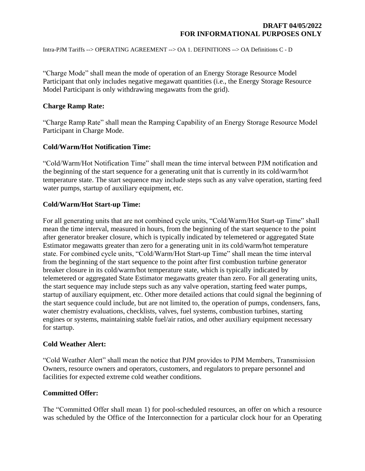Intra-PJM Tariffs --> OPERATING AGREEMENT --> OA 1. DEFINITIONS --> OA Definitions C - D

"Charge Mode" shall mean the mode of operation of an Energy Storage Resource Model Participant that only includes negative megawatt quantities (i.e., the Energy Storage Resource Model Participant is only withdrawing megawatts from the grid).

#### **Charge Ramp Rate:**

"Charge Ramp Rate" shall mean the Ramping Capability of an Energy Storage Resource Model Participant in Charge Mode.

### **Cold/Warm/Hot Notification Time:**

"Cold/Warm/Hot Notification Time" shall mean the time interval between PJM notification and the beginning of the start sequence for a generating unit that is currently in its cold/warm/hot temperature state. The start sequence may include steps such as any valve operation, starting feed water pumps, startup of auxiliary equipment, etc.

### **Cold/Warm/Hot Start-up Time:**

For all generating units that are not combined cycle units, "Cold/Warm/Hot Start-up Time" shall mean the time interval, measured in hours, from the beginning of the start sequence to the point after generator breaker closure, which is typically indicated by telemetered or aggregated State Estimator megawatts greater than zero for a generating unit in its cold/warm/hot temperature state. For combined cycle units, "Cold/Warm/Hot Start-up Time" shall mean the time interval from the beginning of the start sequence to the point after first combustion turbine generator breaker closure in its cold/warm/hot temperature state, which is typically indicated by telemetered or aggregated State Estimator megawatts greater than zero. For all generating units, the start sequence may include steps such as any valve operation, starting feed water pumps, startup of auxiliary equipment, etc. Other more detailed actions that could signal the beginning of the start sequence could include, but are not limited to, the operation of pumps, condensers, fans, water chemistry evaluations, checklists, valves, fuel systems, combustion turbines, starting engines or systems, maintaining stable fuel/air ratios, and other auxiliary equipment necessary for startup.

### **Cold Weather Alert:**

"Cold Weather Alert" shall mean the notice that PJM provides to PJM Members, Transmission Owners, resource owners and operators, customers, and regulators to prepare personnel and facilities for expected extreme cold weather conditions.

### **Committed Offer:**

The "Committed Offer shall mean 1) for pool-scheduled resources, an offer on which a resource was scheduled by the Office of the Interconnection for a particular clock hour for an Operating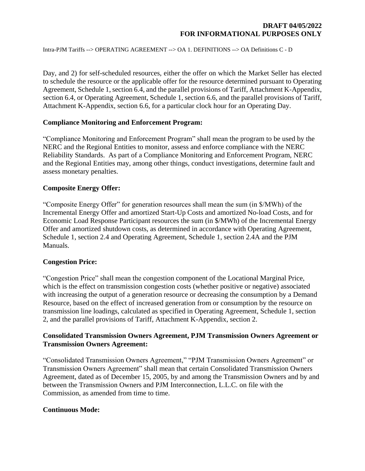Intra-PJM Tariffs --> OPERATING AGREEMENT --> OA 1. DEFINITIONS --> OA Definitions C - D

Day, and 2) for self-scheduled resources, either the offer on which the Market Seller has elected to schedule the resource or the applicable offer for the resource determined pursuant to Operating Agreement, Schedule 1, section 6.4, and the parallel provisions of Tariff, Attachment K-Appendix, section 6.4, or Operating Agreement, Schedule 1, section 6.6, and the parallel provisions of Tariff, Attachment K-Appendix, section 6.6, for a particular clock hour for an Operating Day.

### **Compliance Monitoring and Enforcement Program:**

"Compliance Monitoring and Enforcement Program" shall mean the program to be used by the NERC and the Regional Entities to monitor, assess and enforce compliance with the NERC Reliability Standards. As part of a Compliance Monitoring and Enforcement Program, NERC and the Regional Entities may, among other things, conduct investigations, determine fault and assess monetary penalties.

#### **Composite Energy Offer:**

"Composite Energy Offer" for generation resources shall mean the sum (in \$/MWh) of the Incremental Energy Offer and amortized Start-Up Costs and amortized No-load Costs, and for Economic Load Response Participant resources the sum (in \$/MWh) of the Incremental Energy Offer and amortized shutdown costs, as determined in accordance with Operating Agreement, Schedule 1, section 2.4 and Operating Agreement, Schedule 1, section 2.4A and the PJM Manuals.

### **Congestion Price:**

"Congestion Price" shall mean the congestion component of the Locational Marginal Price, which is the effect on transmission congestion costs (whether positive or negative) associated with increasing the output of a generation resource or decreasing the consumption by a Demand Resource, based on the effect of increased generation from or consumption by the resource on transmission line loadings, calculated as specified in Operating Agreement, Schedule 1, section 2, and the parallel provisions of Tariff, Attachment K-Appendix, section 2.

# **Consolidated Transmission Owners Agreement, PJM Transmission Owners Agreement or Transmission Owners Agreement:**

"Consolidated Transmission Owners Agreement," "PJM Transmission Owners Agreement" or Transmission Owners Agreement" shall mean that certain Consolidated Transmission Owners Agreement, dated as of December 15, 2005, by and among the Transmission Owners and by and between the Transmission Owners and PJM Interconnection, L.L.C. on file with the Commission, as amended from time to time.

#### **Continuous Mode:**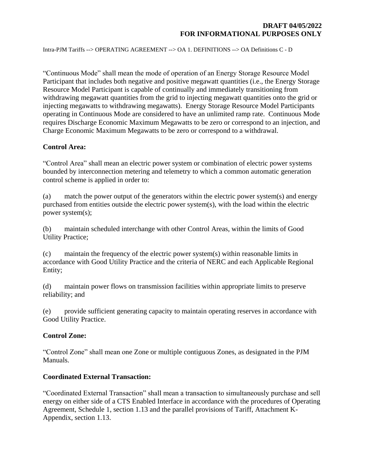Intra-PJM Tariffs --> OPERATING AGREEMENT --> OA 1. DEFINITIONS --> OA Definitions C - D

"Continuous Mode" shall mean the mode of operation of an Energy Storage Resource Model Participant that includes both negative and positive megawatt quantities (i.e., the Energy Storage Resource Model Participant is capable of continually and immediately transitioning from withdrawing megawatt quantities from the grid to injecting megawatt quantities onto the grid or injecting megawatts to withdrawing megawatts). Energy Storage Resource Model Participants operating in Continuous Mode are considered to have an unlimited ramp rate. Continuous Mode requires Discharge Economic Maximum Megawatts to be zero or correspond to an injection, and Charge Economic Maximum Megawatts to be zero or correspond to a withdrawal.

### **Control Area:**

"Control Area" shall mean an electric power system or combination of electric power systems bounded by interconnection metering and telemetry to which a common automatic generation control scheme is applied in order to:

(a) match the power output of the generators within the electric power system(s) and energy purchased from entities outside the electric power system(s), with the load within the electric power system(s);

(b) maintain scheduled interchange with other Control Areas, within the limits of Good Utility Practice;

(c) maintain the frequency of the electric power system(s) within reasonable limits in accordance with Good Utility Practice and the criteria of NERC and each Applicable Regional Entity;

(d) maintain power flows on transmission facilities within appropriate limits to preserve reliability; and

(e) provide sufficient generating capacity to maintain operating reserves in accordance with Good Utility Practice.

### **Control Zone:**

"Control Zone" shall mean one Zone or multiple contiguous Zones, as designated in the PJM Manuals.

### **Coordinated External Transaction:**

"Coordinated External Transaction" shall mean a transaction to simultaneously purchase and sell energy on either side of a CTS Enabled Interface in accordance with the procedures of Operating Agreement, Schedule 1, section 1.13 and the parallel provisions of Tariff, Attachment K-Appendix, section 1.13.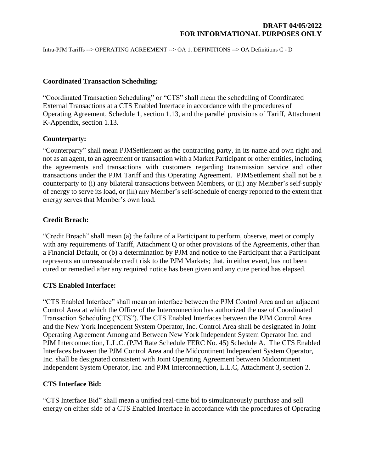Intra-PJM Tariffs --> OPERATING AGREEMENT --> OA 1. DEFINITIONS --> OA Definitions C - D

### **Coordinated Transaction Scheduling:**

"Coordinated Transaction Scheduling" or "CTS" shall mean the scheduling of Coordinated External Transactions at a CTS Enabled Interface in accordance with the procedures of Operating Agreement, Schedule 1, section 1.13, and the parallel provisions of Tariff, Attachment K-Appendix, section 1.13.

# **Counterparty:**

"Counterparty" shall mean PJMSettlement as the contracting party, in its name and own right and not as an agent, to an agreement or transaction with a Market Participant or other entities, including the agreements and transactions with customers regarding transmission service and other transactions under the PJM Tariff and this Operating Agreement. PJMSettlement shall not be a counterparty to (i) any bilateral transactions between Members, or (ii) any Member's self-supply of energy to serve its load, or (iii) any Member's self-schedule of energy reported to the extent that energy serves that Member's own load.

# **Credit Breach:**

"Credit Breach" shall mean (a) the failure of a Participant to perform, observe, meet or comply with any requirements of Tariff, Attachment Q or other provisions of the Agreements, other than a Financial Default, or (b) a determination by PJM and notice to the Participant that a Participant represents an unreasonable credit risk to the PJM Markets; that, in either event, has not been cured or remedied after any required notice has been given and any cure period has elapsed.

### **CTS Enabled Interface:**

"CTS Enabled Interface" shall mean an interface between the PJM Control Area and an adjacent Control Area at which the Office of the Interconnection has authorized the use of Coordinated Transaction Scheduling ("CTS"). The CTS Enabled Interfaces between the PJM Control Area and the New York Independent System Operator, Inc. Control Area shall be designated in Joint Operating Agreement Among and Between New York Independent System Operator Inc. and PJM Interconnection, L.L.C. (PJM Rate Schedule FERC No. 45) Schedule A. The CTS Enabled Interfaces between the PJM Control Area and the Midcontinent Independent System Operator, Inc. shall be designated consistent with Joint Operating Agreement between Midcontinent Independent System Operator, Inc. and PJM Interconnection, L.L.C, Attachment 3, section 2.

# **CTS Interface Bid:**

"CTS Interface Bid" shall mean a unified real-time bid to simultaneously purchase and sell energy on either side of a CTS Enabled Interface in accordance with the procedures of Operating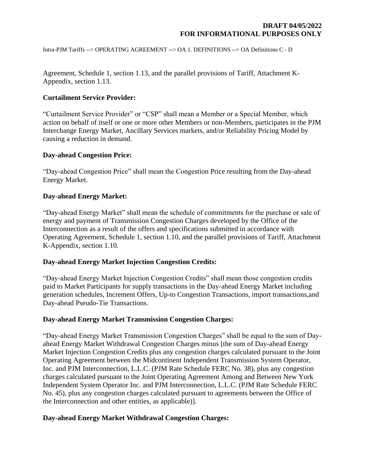Intra-PJM Tariffs --> OPERATING AGREEMENT --> OA 1. DEFINITIONS --> OA Definitions C - D

Agreement, Schedule 1, section 1.13, and the parallel provisions of Tariff, Attachment K-Appendix, section 1.13.

# **Curtailment Service Provider:**

"Curtailment Service Provider" or "CSP" shall mean a Member or a Special Member, which action on behalf of itself or one or more other Members or non-Members, participates in the PJM Interchange Energy Market, Ancillary Services markets, and/or Reliability Pricing Model by causing a reduction in demand.

### **Day-ahead Congestion Price:**

"Day-ahead Congestion Price" shall mean the Congestion Price resulting from the Day-ahead Energy Market.

# **Day-ahead Energy Market:**

"Day-ahead Energy Market" shall mean the schedule of commitments for the purchase or sale of energy and payment of Transmission Congestion Charges developed by the Office of the Interconnection as a result of the offers and specifications submitted in accordance with Operating Agreement, Schedule 1, section 1.10, and the parallel provisions of Tariff, Attachment K-Appendix, section 1.10.

### **Day-ahead Energy Market Injection Congestion Credits:**

"Day-ahead Energy Market Injection Congestion Credits" shall mean those congestion credits paid to Market Participants for supply transactions in the Day-ahead Energy Market including generation schedules, Increment Offers, Up-to Congestion Transactions, import transactions,and Day-ahead Pseudo-Tie Transactions.

### **Day-ahead Energy Market Transmission Congestion Charges:**

"Day-ahead Energy Market Transmission Congestion Charges" shall be equal to the sum of Dayahead Energy Market Withdrawal Congestion Charges minus [the sum of Day-ahead Energy Market Injection Congestion Credits plus any congestion charges calculated pursuant to the Joint Operating Agreement between the Midcontinent Independent Transmission System Operator, Inc. and PJM Interconnection, L.L.C. (PJM Rate Schedule FERC No. 38), plus any congestion charges calculated pursuant to the Joint Operating Agreement Among and Between New York Independent System Operator Inc. and PJM Interconnection, L.L.C. (PJM Rate Schedule FERC No. 45), plus any congestion charges calculated pursuant to agreements between the Office of the Interconnection and other entities, as applicable)].

### **Day-ahead Energy Market Withdrawal Congestion Charges:**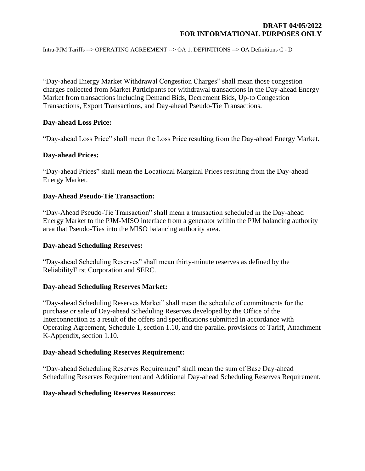Intra-PJM Tariffs --> OPERATING AGREEMENT --> OA 1. DEFINITIONS --> OA Definitions C - D

"Day-ahead Energy Market Withdrawal Congestion Charges" shall mean those congestion charges collected from Market Participants for withdrawal transactions in the Day-ahead Energy Market from transactions including Demand Bids, Decrement Bids, Up-to Congestion Transactions, Export Transactions, and Day-ahead Pseudo-Tie Transactions.

### **Day-ahead Loss Price:**

"Day-ahead Loss Price" shall mean the Loss Price resulting from the Day-ahead Energy Market.

### **Day-ahead Prices:**

"Day-ahead Prices" shall mean the Locational Marginal Prices resulting from the Day-ahead Energy Market.

#### **Day-Ahead Pseudo-Tie Transaction:**

"Day-Ahead Pseudo-Tie Transaction" shall mean a transaction scheduled in the Day-ahead Energy Market to the PJM-MISO interface from a generator within the PJM balancing authority area that Pseudo-Ties into the MISO balancing authority area.

### **Day-ahead Scheduling Reserves:**

"Day-ahead Scheduling Reserves" shall mean thirty-minute reserves as defined by the ReliabilityFirst Corporation and SERC.

### **Day-ahead Scheduling Reserves Market:**

"Day-ahead Scheduling Reserves Market" shall mean the schedule of commitments for the purchase or sale of Day-ahead Scheduling Reserves developed by the Office of the Interconnection as a result of the offers and specifications submitted in accordance with Operating Agreement, Schedule 1, section 1.10, and the parallel provisions of Tariff, Attachment K-Appendix, section 1.10.

#### **Day-ahead Scheduling Reserves Requirement:**

"Day-ahead Scheduling Reserves Requirement" shall mean the sum of Base Day-ahead Scheduling Reserves Requirement and Additional Day-ahead Scheduling Reserves Requirement.

#### **Day-ahead Scheduling Reserves Resources:**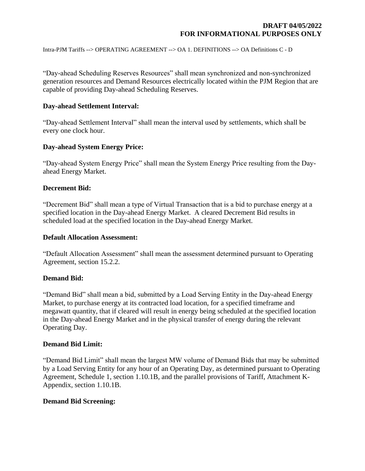Intra-PJM Tariffs --> OPERATING AGREEMENT --> OA 1. DEFINITIONS --> OA Definitions C - D

"Day-ahead Scheduling Reserves Resources" shall mean synchronized and non-synchronized generation resources and Demand Resources electrically located within the PJM Region that are capable of providing Day-ahead Scheduling Reserves.

#### **Day-ahead Settlement Interval:**

"Day-ahead Settlement Interval" shall mean the interval used by settlements, which shall be every one clock hour.

### **Day-ahead System Energy Price:**

"Day-ahead System Energy Price" shall mean the System Energy Price resulting from the Dayahead Energy Market.

#### **Decrement Bid:**

"Decrement Bid" shall mean a type of Virtual Transaction that is a bid to purchase energy at a specified location in the Day-ahead Energy Market. A cleared Decrement Bid results in scheduled load at the specified location in the Day-ahead Energy Market.

#### **Default Allocation Assessment:**

"Default Allocation Assessment" shall mean the assessment determined pursuant to Operating Agreement, section 15.2.2.

#### **Demand Bid:**

"Demand Bid" shall mean a bid, submitted by a Load Serving Entity in the Day-ahead Energy Market, to purchase energy at its contracted load location, for a specified timeframe and megawatt quantity, that if cleared will result in energy being scheduled at the specified location in the Day-ahead Energy Market and in the physical transfer of energy during the relevant Operating Day.

#### **Demand Bid Limit:**

"Demand Bid Limit" shall mean the largest MW volume of Demand Bids that may be submitted by a Load Serving Entity for any hour of an Operating Day, as determined pursuant to Operating Agreement, Schedule 1, section 1.10.1B, and the parallel provisions of Tariff, Attachment K-Appendix, section 1.10.1B.

#### **Demand Bid Screening:**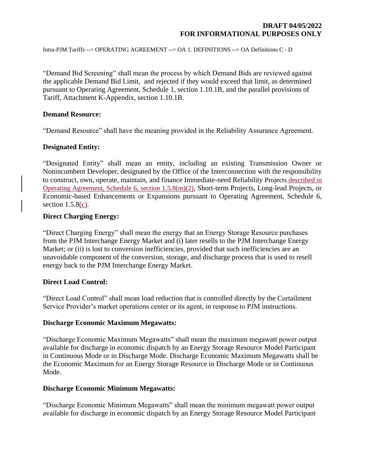Intra-PJM Tariffs --> OPERATING AGREEMENT --> OA 1. DEFINITIONS --> OA Definitions C - D

"Demand Bid Screening" shall mean the process by which Demand Bids are reviewed against the applicable Demand Bid Limit, and rejected if they would exceed that limit, as determined pursuant to Operating Agreement, Schedule 1, section 1.10.1B, and the parallel provisions of Tariff, Attachment K-Appendix, section 1.10.1B.

#### **Demand Resource:**

"Demand Resource" shall have the meaning provided in the Reliability Assurance Agreement.

### **Designated Entity:**

"Designated Entity" shall mean an entity, including an existing Transmission Owner or Nonincumbent Developer, designated by the Office of the Interconnection with the responsibility to construct, own, operate, maintain, and finance Immediate-need Reliability Projects described in Operating Agreement, Schedule 6, section 1.5.8(m)(2), Short-term Projects, Long-lead Projects, or Economic-based Enhancements or Expansions pursuant to Operating Agreement, Schedule 6, section  $1.5.8(c)$ .

### **Direct Charging Energy:**

"Direct Charging Energy" shall mean the energy that an Energy Storage Resource purchases from the PJM Interchange Energy Market and (i) later resells to the PJM Interchange Energy Market; or (ii) is lost to conversion inefficiencies, provided that such inefficiencies are an unavoidable component of the conversion, storage, and discharge process that is used to resell energy back to the PJM Interchange Energy Market.

#### **Direct Load Control:**

"Direct Load Control" shall mean load reduction that is controlled directly by the Curtailment Service Provider's market operations center or its agent, in response to PJM instructions.

#### **Discharge Economic Maximum Megawatts:**

"Discharge Economic Maximum Megawatts" shall mean the maximum megawatt power output available for discharge in economic dispatch by an Energy Storage Resource Model Participant in Continuous Mode or in Discharge Mode. Discharge Economic Maximum Megawatts shall be the Economic Maximum for an Energy Storage Resource in Discharge Mode or in Continuous Mode.

#### **Discharge Economic Minimum Megawatts:**

"Discharge Economic Minimum Megawatts" shall mean the minimum megawatt power output available for discharge in economic dispatch by an Energy Storage Resource Model Participant